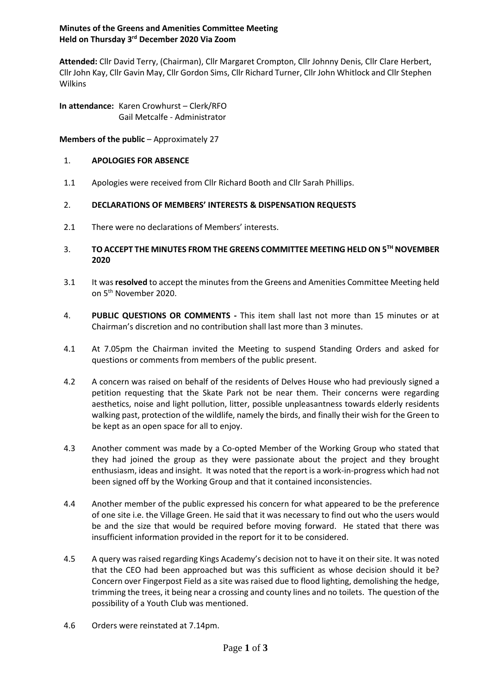# **Minutes of the Greens and Amenities Committee Meeting Held on Thursday 3 rd December 2020 Via Zoom**

**Attended:** Cllr David Terry, (Chairman), Cllr Margaret Crompton, Cllr Johnny Denis, Cllr Clare Herbert, Cllr John Kay, Cllr Gavin May, Cllr Gordon Sims, Cllr Richard Turner, Cllr John Whitlock and Cllr Stephen Wilkins

**In attendance:** Karen Crowhurst – Clerk/RFO Gail Metcalfe - Administrator

**Members of the public** – Approximately 27

#### 1. **APOLOGIES FOR ABSENCE**

1.1 Apologies were received from Cllr Richard Booth and Cllr Sarah Phillips.

#### 2. **DECLARATIONS OF MEMBERS' INTERESTS & DISPENSATION REQUESTS**

- 2.1 There were no declarations of Members' interests.
- 3. **TO ACCEPT THE MINUTES FROM THE GREENS COMMITTEE MEETING HELD ON 5 TH NOVEMBER 2020**
- 3.1 It was **resolved** to accept the minutes from the Greens and Amenities Committee Meeting held on 5<sup>th</sup> November 2020.
- 4. **PUBLIC QUESTIONS OR COMMENTS -** This item shall last not more than 15 minutes or at Chairman's discretion and no contribution shall last more than 3 minutes.
- 4.1 At 7.05pm the Chairman invited the Meeting to suspend Standing Orders and asked for questions or comments from members of the public present.
- 4.2 A concern was raised on behalf of the residents of Delves House who had previously signed a petition requesting that the Skate Park not be near them. Their concerns were regarding aesthetics, noise and light pollution, litter, possible unpleasantness towards elderly residents walking past, protection of the wildlife, namely the birds, and finally their wish for the Green to be kept as an open space for all to enjoy.
- 4.3 Another comment was made by a Co-opted Member of the Working Group who stated that they had joined the group as they were passionate about the project and they brought enthusiasm, ideas and insight. It was noted that the report is a work-in-progress which had not been signed off by the Working Group and that it contained inconsistencies.
- 4.4 Another member of the public expressed his concern for what appeared to be the preference of one site i.e. the Village Green. He said that it was necessary to find out who the users would be and the size that would be required before moving forward. He stated that there was insufficient information provided in the report for it to be considered.
- 4.5 A query was raised regarding Kings Academy's decision not to have it on their site. It was noted that the CEO had been approached but was this sufficient as whose decision should it be? Concern over Fingerpost Field as a site was raised due to flood lighting, demolishing the hedge, trimming the trees, it being near a crossing and county lines and no toilets. The question of the possibility of a Youth Club was mentioned.
- 4.6 Orders were reinstated at 7.14pm.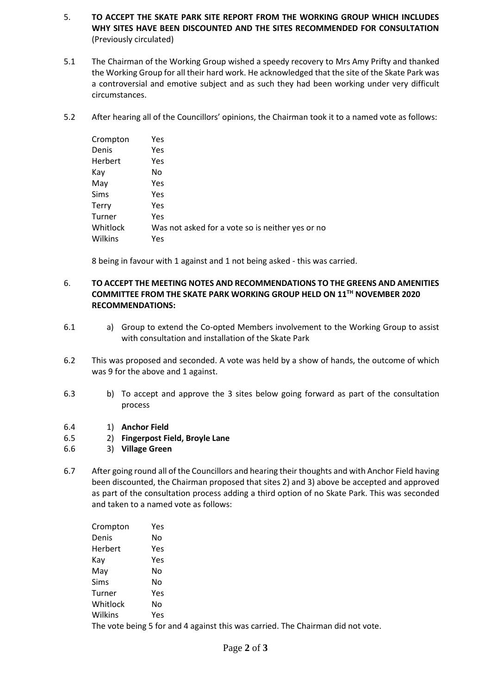- 5. **TO ACCEPT THE SKATE PARK SITE REPORT FROM THE WORKING GROUP WHICH INCLUDES WHY SITES HAVE BEEN DISCOUNTED AND THE SITES RECOMMENDED FOR CONSULTATION**  (Previously circulated)
- 5.1 The Chairman of the Working Group wished a speedy recovery to Mrs Amy Prifty and thanked the Working Group for all their hard work. He acknowledged that the site of the Skate Park was a controversial and emotive subject and as such they had been working under very difficult circumstances.
- 5.2 After hearing all of the Councillors' opinions, the Chairman took it to a named vote as follows:

| Crompton     | Yes                                              |
|--------------|--------------------------------------------------|
| Denis        | Yes                                              |
| Herbert      | Yes                                              |
| Kay          | No.                                              |
| May          | Yes                                              |
| <b>Sims</b>  | Yes                                              |
| <b>Terry</b> | Yes                                              |
| Turner       | Yes                                              |
| Whitlock     | Was not asked for a vote so is neither yes or no |
| Wilkins      | Yes                                              |

8 being in favour with 1 against and 1 not being asked - this was carried.

#### 6. **TO ACCEPT THE MEETING NOTES AND RECOMMENDATIONS TO THE GREENS AND AMENITIES COMMITTEE FROM THE SKATE PARK WORKING GROUP HELD ON 11 TH NOVEMBER 2020 RECOMMENDATIONS:**

- 6.1 a) Group to extend the Co-opted Members involvement to the Working Group to assist with consultation and installation of the Skate Park
- 6.2 This was proposed and seconded. A vote was held by a show of hands, the outcome of which was 9 for the above and 1 against.
- 6.3 b) To accept and approve the 3 sites below going forward as part of the consultation process
- 6.4 1) **Anchor Field**
- 6.5 2) **Fingerpost Field, Broyle Lane**
- 6.6 3) **Village Green**
- 6.7 After going round all of the Councillors and hearing their thoughts and with Anchor Field having been discounted, the Chairman proposed that sites 2) and 3) above be accepted and approved as part of the consultation process adding a third option of no Skate Park. This was seconded and taken to a named vote as follows:

| Crompton | Yes                                                                             |
|----------|---------------------------------------------------------------------------------|
| Denis    | No.                                                                             |
| Herbert  | Yes                                                                             |
| Kay      | Yes                                                                             |
| May      | No.                                                                             |
| Sims     | No                                                                              |
| Turner   | Yes                                                                             |
| Whitlock | No.                                                                             |
| Wilkins  | Yes                                                                             |
|          | The vote being 5 for and 4 against this was carried. The Chairman did not vote. |